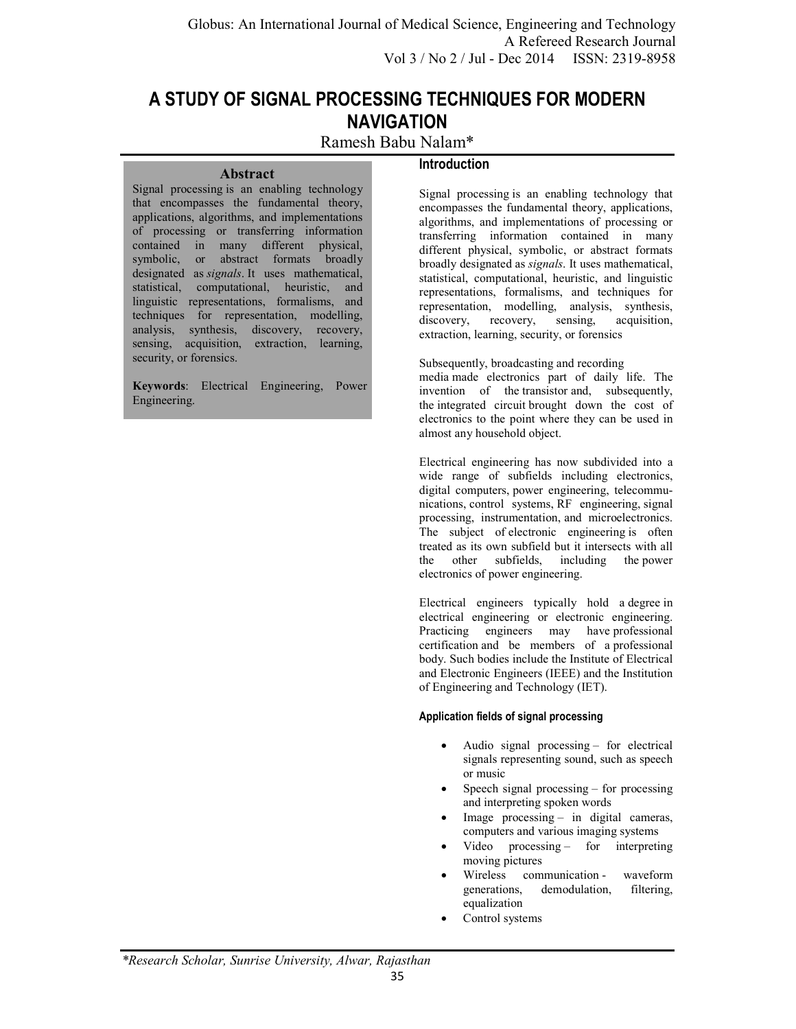# **A STUDY OF SIGNAL PROCESSING TECHNIQUES FOR MODERN NAVIGATION**

# Ramesh Babu Nalam\*

### **Abstract**

### **Introduction**

Signal processing is an enabling technology that encompasses the fundamental theory, applications, algorithms, and implementations of processing or transferring information contained in many different physical, symbolic, or abstract formats broadly designated as *signals*. It uses mathematical, statistical, computational, heuristic, and linguistic representations, formalisms, and techniques for representation, modelling, analysis, synthesis, discovery, recovery, sensing, acquisition, extraction, learning, security, or forensics.

**Keywords**: Electrical Engineering, Power Engineering.

Signal processing is an enabling technology that encompasses the fundamental theory, applications, algorithms, and implementations of processing or transferring information contained in many different physical, symbolic, or abstract formats broadly designated as *signals*. It uses mathematical, statistical, computational, heuristic, and linguistic representations, formalisms, and techniques for representation, modelling, analysis, synthesis, discovery, recovery, sensing, acquisition, acquisition, extraction, learning, security, or forensics

Subsequently, broadcasting and recording media made electronics part of daily life. The invention of the transistor and, subsequently, the integrated circuit brought down the cost of electronics to the point where they can be used in almost any household object.

Electrical engineering has now subdivided into a wide range of subfields including electronics, digital computers, power engineering, telecommunications, control systems, RF engineering, signal processing, instrumentation, and microelectronics. The subject of electronic engineering is often treated as its own subfield but it intersects with all the other subfields, including the power electronics of power engineering.

Electrical engineers typically hold a degree in electrical engineering or electronic engineering. Practicing engineers may have professional certification and be members of a professional body. Such bodies include the Institute of Electrical and Electronic Engineers (IEEE) and the Institution of Engineering and Technology (IET).

### **Application fields of signal processing**

- Audio signal processing for electrical signals representing sound, such as speech or music
- Speech signal processing  $-$  for processing and interpreting spoken words
- Image processing in digital cameras, computers and various imaging systems
- Video processing for interpreting moving pictures
- Wireless communication waveform generations, demodulation, filtering, equalization
- Control systems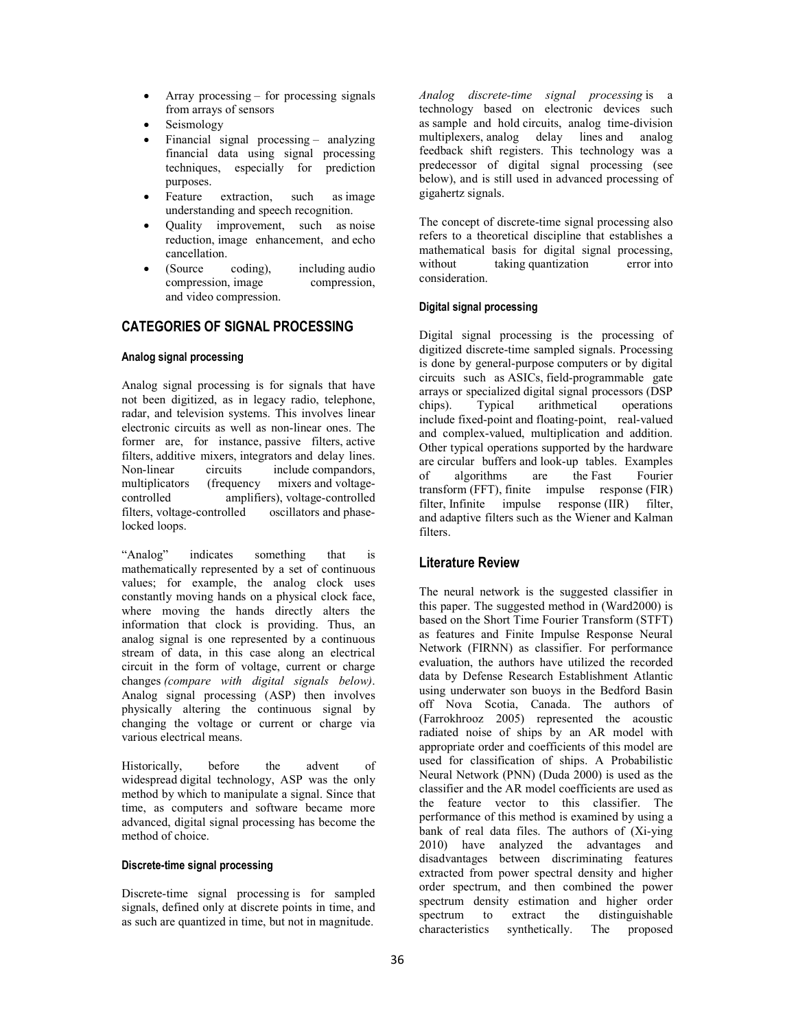- Array processing for processing signals from arrays of sensors
- Seismology
- Financial signal processing analyzing financial data using signal processing techniques, especially for prediction purposes.
- Feature extraction, such as image understanding and speech recognition.
- Quality improvement, such as noise reduction, image enhancement, and echo cancellation.
- (Source coding), including audio compression, image compression, and video compression.

# **CATEGORIES OF SIGNAL PROCESSING**

### **Analog signal processing**

Analog signal processing is for signals that have not been digitized, as in legacy radio, telephone, radar, and television systems. This involves linear electronic circuits as well as non-linear ones. The former are, for instance, passive filters, active filters, additive mixers, integrators and delay lines. Non-linear circuits include compandors,<br>multiplicators (frequency mixers and voltage- $(frequency$  mixers and voltagecontrolled amplifiers), voltage-controlled filters, voltage-controlled oscillators and phaselocked loops.

"Analog" indicates something that is mathematically represented by a set of continuous values; for example, the analog clock uses constantly moving hands on a physical clock face, where moving the hands directly alters the information that clock is providing. Thus, an analog signal is one represented by a continuous stream of data, in this case along an electrical circuit in the form of voltage, current or charge changes *(compare with digital signals below)*. Analog signal processing (ASP) then involves physically altering the continuous signal by changing the voltage or current or charge via various electrical means.

Historically, before the advent of widespread digital technology, ASP was the only method by which to manipulate a signal. Since that time, as computers and software became more advanced, digital signal processing has become the method of choice.

#### **Discrete-time signal processing**

Discrete-time signal processing is for sampled signals, defined only at discrete points in time, and as such are quantized in time, but not in magnitude.

*Analog discrete-time signal processing* is a technology based on electronic devices such as sample and hold circuits, analog time-division multiplexers, analog delay lines and analog feedback shift registers. This technology was a predecessor of digital signal processing (see below), and is still used in advanced processing of gigahertz signals.

The concept of discrete-time signal processing also refers to a theoretical discipline that establishes a mathematical basis for digital signal processing, without taking quantization error into consideration.

### **Digital signal processing**

Digital signal processing is the processing of digitized discrete-time sampled signals. Processing is done by general-purpose computers or by digital circuits such as ASICs, field-programmable gate arrays or specialized digital signal processors (DSP chips). Typical arithmetical operations include fixed-point and floating-point, real-valued and complex-valued, multiplication and addition. Other typical operations supported by the hardware are circular buffers and look-up tables. Examples<br>of algorithms are the East Fourier of algorithms are the Fast transform (FFT), finite impulse response (FIR) filter, Infinite impulse response (IIR) filter, and adaptive filters such as the Wiener and Kalman filters.

# **Literature Review**

The neural network is the suggested classifier in this paper. The suggested method in (Ward2000) is based on the Short Time Fourier Transform (STFT) as features and Finite Impulse Response Neural Network (FIRNN) as classifier. For performance evaluation, the authors have utilized the recorded data by Defense Research Establishment Atlantic using underwater son buoys in the Bedford Basin off Nova Scotia, Canada. The authors of (Farrokhrooz 2005) represented the acoustic radiated noise of ships by an AR model with appropriate order and coefficients of this model are used for classification of ships. A Probabilistic Neural Network (PNN) (Duda 2000) is used as the classifier and the AR model coefficients are used as the feature vector to this classifier. The performance of this method is examined by using a bank of real data files. The authors of (Xi-ying 2010) have analyzed the advantages and disadvantages between discriminating features extracted from power spectral density and higher order spectrum, and then combined the power spectrum density estimation and higher order spectrum to extract the distinguishable characteristics synthetically. The proposed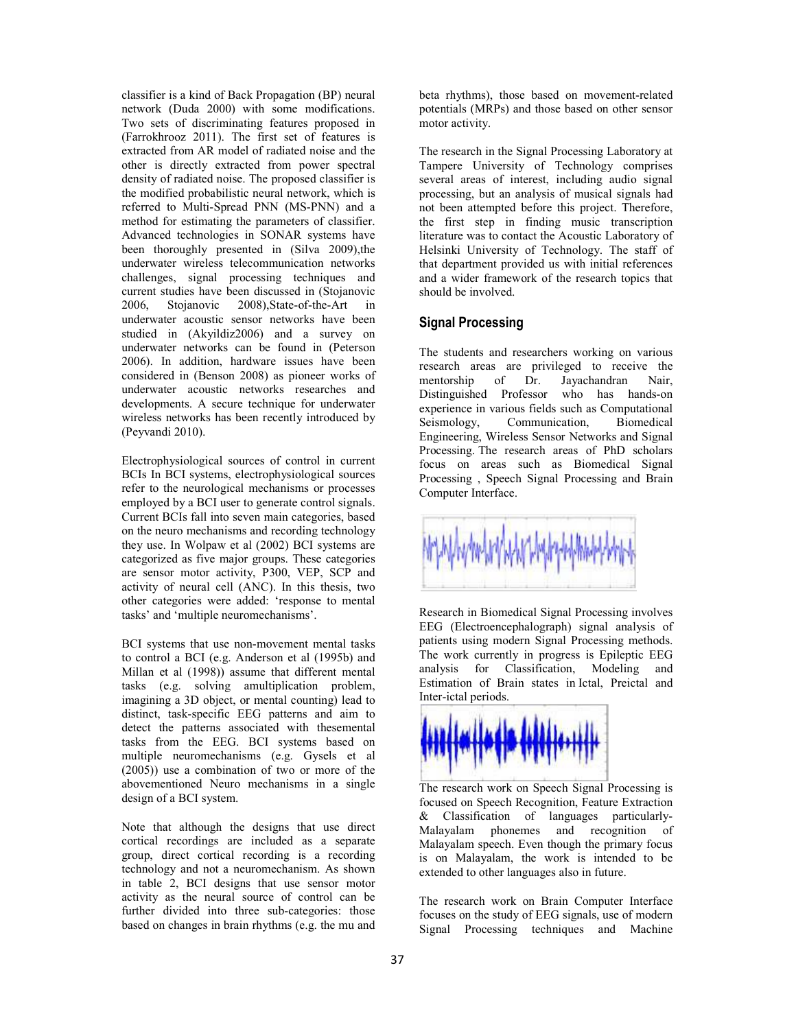classifier is a kind of Back Propagation (BP) neural network (Duda 2000) with some modifications. Two sets of discriminating features proposed in (Farrokhrooz 2011). The first set of features is extracted from AR model of radiated noise and the other is directly extracted from power spectral density of radiated noise. The proposed classifier is the modified probabilistic neural network, which is referred to Multi-Spread PNN (MS-PNN) and a method for estimating the parameters of classifier. Advanced technologies in SONAR systems have been thoroughly presented in (Silva 2009), the underwater wireless telecommunication networks challenges, signal processing techniques and current studies have been discussed in (Stojanovic 2006, Stojanovic 2008),State-of-the-Art in underwater acoustic sensor networks have been studied in (Akyildiz2006) and a survey on underwater networks can be found in (Peterson 2006). In addition, hardware issues have been considered in (Benson 2008) as pioneer works of underwater acoustic networks researches and developments. A secure technique for underwater wireless networks has been recently introduced by (Peyvandi 2010).

Electrophysiological sources of control in current BCIs In BCI systems, electrophysiological sources refer to the neurological mechanisms or processes employed by a BCI user to generate control signals. Current BCIs fall into seven main categories, based on the neuro mechanisms and recording technology they use. In Wolpaw et al (2002) BCI systems are categorized as five major groups. These categories are sensor motor activity, P300, VEP, SCP and activity of neural cell (ANC). In this thesis, two other categories were added: 'response to mental tasks' and 'multiple neuromechanisms'.

BCI systems that use non-movement mental tasks to control a BCI (e.g. Anderson et al (1995b) and Millan et al (1998)) assume that different mental tasks (e.g. solving amultiplication problem, imagining a 3D object, or mental counting) lead to distinct, task-specific EEG patterns and aim to detect the patterns associated with thesemental tasks from the EEG. BCI systems based on multiple neuromechanisms (e.g. Gysels et al (2005)) use a combination of two or more of the abovementioned Neuro mechanisms in a single design of a BCI system.

Note that although the designs that use direct cortical recordings are included as a separate group, direct cortical recording is a recording technology and not a neuromechanism. As shown in table 2, BCI designs that use sensor motor activity as the neural source of control can be further divided into three sub-categories: those based on changes in brain rhythms (e.g. the mu and

beta rhythms), those based on movement-related potentials (MRPs) and those based on other sensor motor activity.

The research in the Signal Processing Laboratory at Tampere University of Technology comprises several areas of interest, including audio signal processing, but an analysis of musical signals had not been attempted before this project. Therefore, the first step in finding music transcription literature was to contact the Acoustic Laboratory of Helsinki University of Technology. The staff of that department provided us with initial references and a wider framework of the research topics that should be involved.

### **Signal Processing**

The students and researchers working on various research areas are privileged to receive the mentorship of Dr. Jayachandran Nair, Distinguished Professor who has hands-on experience in various fields such as Computational<br>Seismology, Communication, Biomedical Communication, Engineering, Wireless Sensor Networks and Signal Processing. The research areas of PhD scholars focus on areas such as Biomedical Signal Processing , Speech Signal Processing and Brain Computer Interface.



Research in Biomedical Signal Processing involves EEG (Electroencephalograph) signal analysis of patients using modern Signal Processing methods. The work currently in progress is Epileptic EEG analysis for Classification, Modeling and Estimation of Brain states in Ictal, Preictal and Inter-ictal periods.



The research work on Speech Signal Processing is focused on Speech Recognition, Feature Extraction & Classification of languages particularly-Malayalam phonemes and recognition of Malayalam speech. Even though the primary focus is on Malayalam, the work is intended to be extended to other languages also in future.

The research work on Brain Computer Interface focuses on the study of EEG signals, use of modern Signal Processing techniques and Machine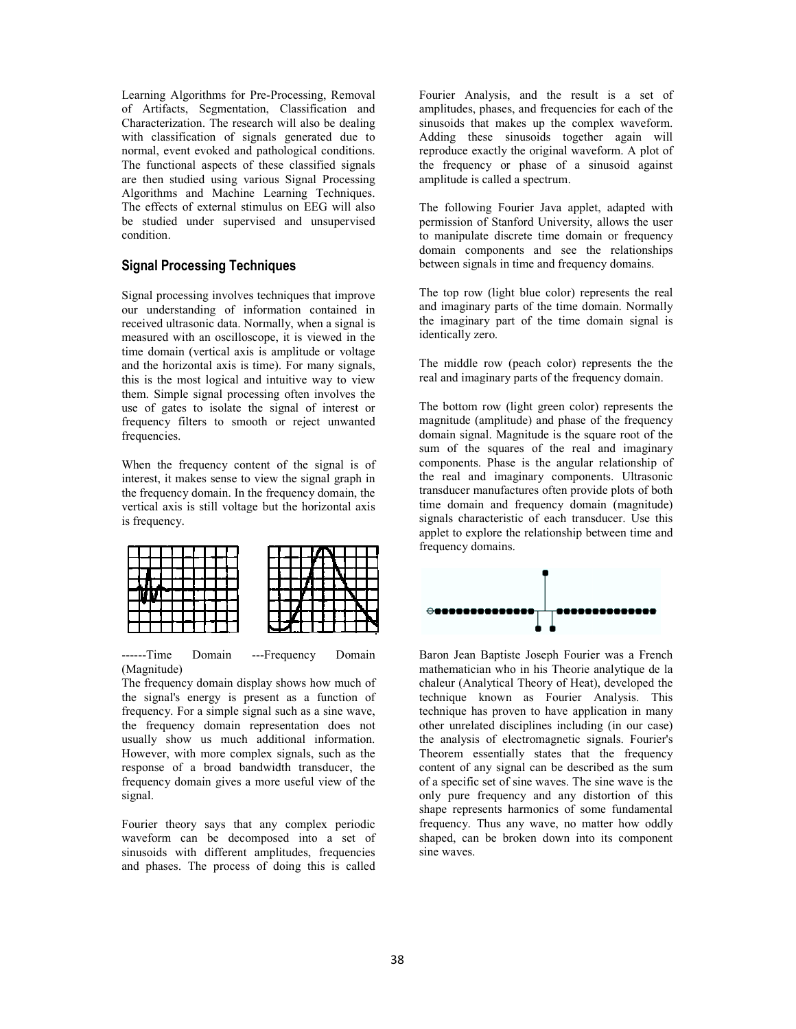Learning Algorithms for Pre-Processing, Removal of Artifacts, Segmentation, Classification and Characterization. The research will also be dealing with classification of signals generated due to normal, event evoked and pathological conditions. The functional aspects of these classified signals are then studied using various Signal Processing Algorithms and Machine Learning Techniques. The effects of external stimulus on EEG will also be studied under supervised and unsupervised condition. Learning Algorithms for Pre-Processing, Removal<br>of Artifacts, Segmentation, Classification and<br>Characterization. The research will also be dealing<br>with classification of signals generated due to<br>normal, event evoked and pa

### **Signal Processing Techniques**

Signal processing involves techniques that improve our understanding of information contained in received ultrasonic data. Normally, when a signal is measured with an oscilloscope, it is viewed in the time domain (vertical axis is amplitude or voltage and the horizontal axis is time). For many signals, this is the most logical and intuitive way to view them. Simple signal processing often involves the use of gates to isolate the signal of interest or frequency filters to smooth or reject unwante frequencies. axis is time). For many signals, gical and intuitive way to view<br>al processing often involves the<br>solate the signal of interest or<br>to smooth or reject unwanted

When the frequency content of the signal is of interest, it makes sense to view the signal graph in the frequency domain. In the frequency domain, the vertical axis is still voltage but the horizontal axis is frequency.



------Time Domain ---Frequency Domain (Magnitude)

The frequency domain display shows how much of the signal's energy is present as a function of frequency. For a simple signal such as a sine wave, the frequency domain representation does not usually show us much additional information. However, with more complex signals, such as the response of a broad bandwidth transducer, the frequency domain gives a more useful view of the signal.

Fourier theory says that any complex periodic waveform can be decomposed into a set of sinusoids with different amplitudes, frequencies and phases. The process of doing this is called

amplitudes, phases, and frequencies for each of the sinusoids that makes up the complex waveform. Adding these sinusoids together again will reproduce exactly the original waveform. A plot of the frequency or phase of a sinusoid against amplitude is called a spectrum. Fourier Analysis, and the result is a set of amplitudes, phases, and frequencies for each of the sinusoids that makes up the complex waveform. Adding these sinusoids together again will reproduce exactly the original wavef

The following Fourier Java applet, adapted with permission of Stanford University, allows the user to manipulate discrete time domain or frequency domain components and see the relationships between signals in time and frequency domains.

The top row (light blue color) represents the real and imaginary parts of the time domain. Normally the imaginary part of the time domain signal is identically zero.

The middle row (peach color) represents the the real and imaginary parts of the frequency domain.

The bottom row (light green color) represents the magnitude (amplitude) and phase of the frequency domain signal. Magnitude is the square root of the sum of the squares of the real and imaginary components. Phase is the angular relationship of the real and imaginary components. Ultrasonic transducer manufactures often provide plots of both time domain and frequency domain (magnitude) signals characteristic of each transducer. Use this applet to explore the relationship between time and frequency domains. The bottom row (light green color) represents the magnitude (amplitude) and phase of the frequency domain signal. Magnitude is the square root of the sum of the squares of the real and imaginary components. Phase is the an



ing Algorithm for Pre-Persons Result is a set of result is a set of result is a set of results of the results of the results of the results of the results of the results of the results of the results of the results of the Baron Jean Baptiste Joseph Fourier was a French mathematician who in his Theorie analytique de la chaleur (Analytical Theory of Heat), developed the technique known as Fourier Analysis. This technique has proven to have application in many other unrelated disciplines including (in our case) the analysis of electromagnetic signals. Fourier's Theorem essentially states that the frequency content of any signal can be described as the sum of a specific set of sine waves. The sine wave is the only pure frequency and any distortion of this shape represents harmonics of some fundamental frequency. Thus any wave, no matter how oddly shaped, can be broken down into its component sine waves. **Example:** Considerate is the relationship between time and frequency domains.<br> **Example:** The relationship between time and frequency domains.<br> **Baron Jean Baptiste Joseph Fourier was a French**<br>
mathematician who in his T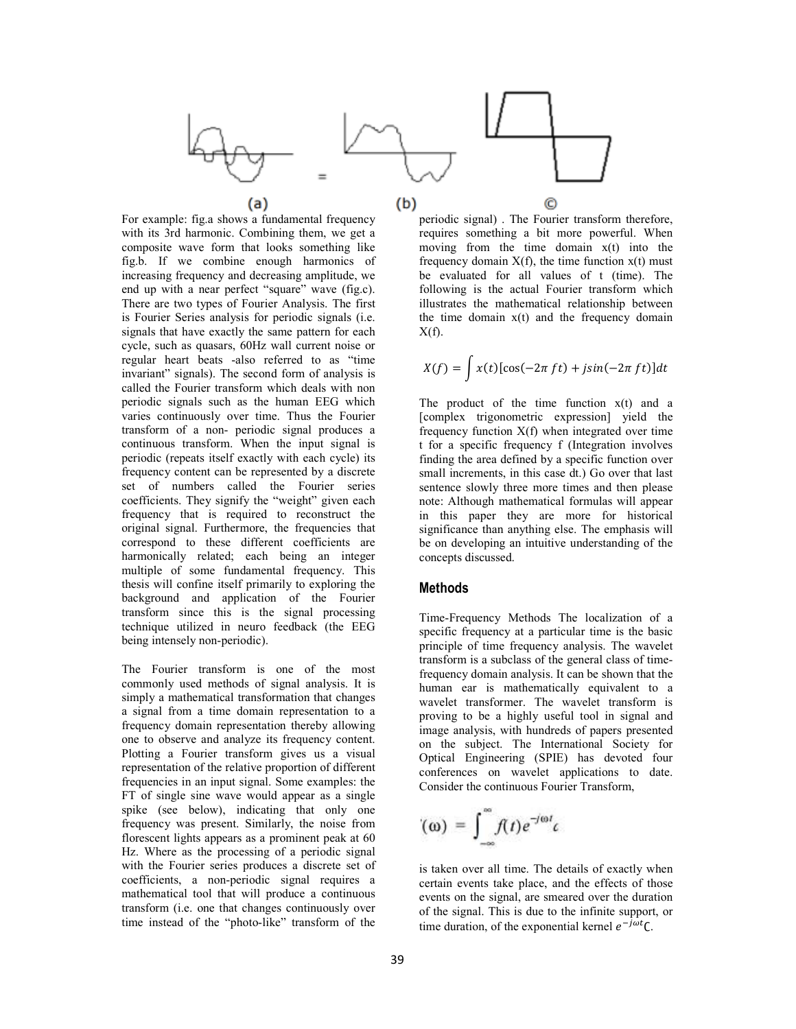

For example: fig.a shows a fundamental frequency with its 3rd harmonic. Combining them, we get a composite wave form that looks something like fig.b. If we combine enough harmonics of increasing frequency and decreasing amplitude, we end up with a near perfect "square" wave (fig.c). There are two types of Fourier Analysis. The first is Fourier Series analysis for periodic signals (i.e. signals that have exactly the same pattern for each cycle, such as quasars, 60Hz wall current noise or regular heart beats -also referred to as "time invariant" signals). The second form of analysis is called the Fourier transform which deals with non periodic signals such as the human EEG which varies continuously over time. Thus the Fourier transform of a non- periodic signal produces a continuous transform. When the input signal is periodic (repeats itself exactly with each cycle) its frequency content can be represented by a discrete set of numbers called the Fourier series coefficients. They signify the "weight" given each frequency that is required to reconstruct the original signal. Furthermore, the frequencies that correspond to these different coefficients are harmonically related; each being an integer multiple of some fundamental frequency. This thesis will confine itself primarily to exploring the background and application of the Fourier transform since this is the signal processing technique utilized in neuro feedback (the EEG being intensely non-periodic).

The Fourier transform is one of the most commonly used methods of signal analysis. It is simply a mathematical transformation that changes a signal from a time domain representation to a frequency domain representation thereby allowing one to observe and analyze its frequency content. Plotting a Fourier transform gives us a visual representation of the relative proportion of different frequencies in an input signal. Some examples: the FT of single sine wave would appear as a single spike (see below), indicating that only one frequency was present. Similarly, the noise from florescent lights appears as a prominent peak at 60 Hz. Where as the processing of a periodic signal with the Fourier series produces a discrete set of coefficients, a non-periodic signal requires a mathematical tool that will produce a continuous transform (i.e. one that changes continuously over time instead of the "photo-like" transform of the

periodic signal) . The Fourier transform therefore, requires something a bit more powerful. When moving from the time domain x(t) into the frequency domain  $X(f)$ , the time function  $x(t)$  must be evaluated for all values of t (time). The following is the actual Fourier transform which illustrates the mathematical relationship between the time domain  $x(t)$  and the frequency domain  $X(f)$ .

$$
X(f) = \int x(t)[\cos(-2\pi ft) + j\sin(-2\pi ft)]dt
$$

The product of the time function  $x(t)$  and a [complex trigonometric expression] yield the frequency function  $X(f)$  when integrated over time t for a specific frequency f (Integration involves finding the area defined by a specific function over small increments, in this case dt.) Go over that last sentence slowly three more times and then please note: Although mathematical formulas will appear in this paper they are more for historical significance than anything else. The emphasis will be on developing an intuitive understanding of the concepts discussed.

### **Methods**

Time-Frequency Methods The localization of a specific frequency at a particular time is the basic principle of time frequency analysis. The wavelet transform is a subclass of the general class of timefrequency domain analysis. It can be shown that the human ear is mathematically equivalent to a wavelet transformer. The wavelet transform is proving to be a highly useful tool in signal and image analysis, with hundreds of papers presented on the subject. The International Society for Optical Engineering (SPIE) has devoted four conferences on wavelet applications to date. Consider the continuous Fourier Transform,

$$
(\omega) = \int_{-\infty}^{\infty} f(t) e^{-j\omega t} c
$$

is taken over all time. The details of exactly when certain events take place, and the effects of those events on the signal, are smeared over the duration of the signal. This is due to the infinite support, or time duration, of the exponential kernel  $e^{-j\omega t}$ C.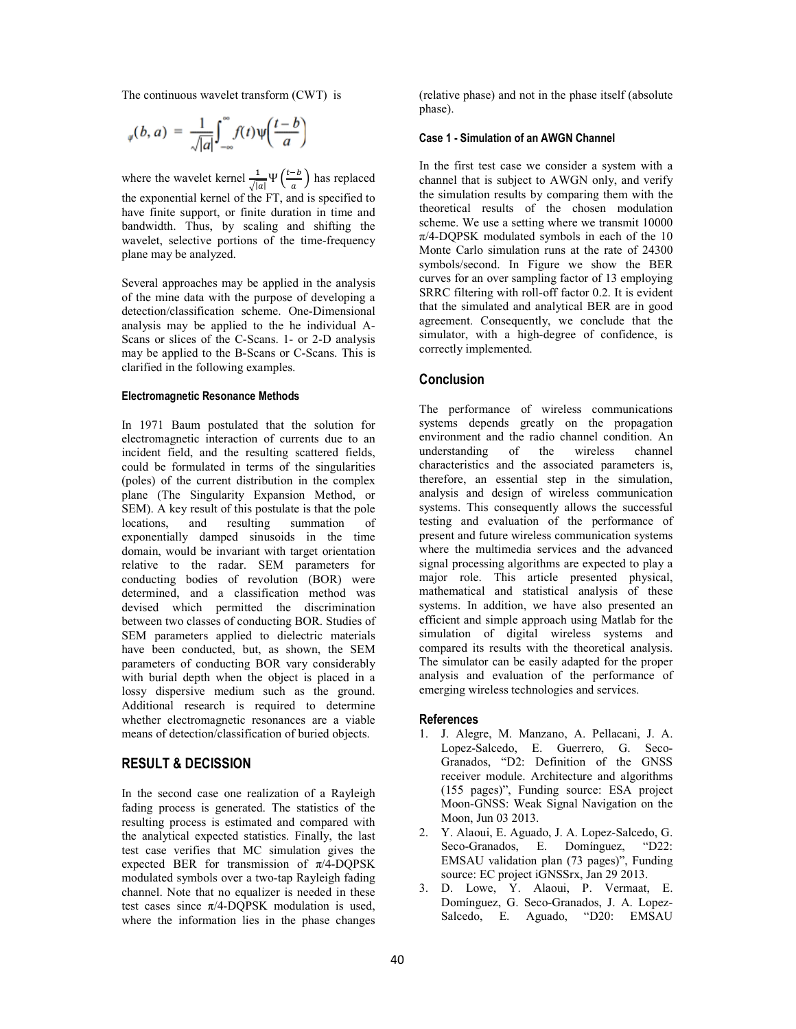The continuous wavelet transform (CWT) is

$$
_{\psi}(b,a) = \frac{1}{\sqrt{|a|}} \int_{-\infty}^{\infty} f(t) \psi\left(\frac{t-b}{a}\right)
$$

where the wavelet kernel  $\frac{1}{\sqrt{|a|}} \Psi\left(\frac{t-b}{a}\right)$  has replaced the exponential kernel of the FT, and is specified to have finite support, or finite duration in time and bandwidth. Thus, by scaling and shifting the wavelet, selective portions of the time-frequency plane may be analyzed.

Several approaches may be applied in the analysis of the mine data with the purpose of developing a detection/classification scheme. One-Dimensional analysis may be applied to the he individual A-Scans or slices of the C-Scans. 1- or 2-D analysis may be applied to the B-Scans or C-Scans. This is clarified in the following examples.

#### **Electromagnetic Resonance Methods**

In 1971 Baum postulated that the solution for electromagnetic interaction of currents due to an incident field, and the resulting scattered fields, could be formulated in terms of the singularities (poles) of the current distribution in the complex plane (The Singularity Expansion Method, or SEM). A key result of this postulate is that the pole<br>locations, and resulting summation of and resulting summation of exponentially damped sinusoids in the time domain, would be invariant with target orientation relative to the radar. SEM parameters for conducting bodies of revolution (BOR) were determined, and a classification method was devised which permitted the discrimination between two classes of conducting BOR. Studies of SEM parameters applied to dielectric materials have been conducted, but, as shown, the SEM parameters of conducting BOR vary considerably with burial depth when the object is placed in a lossy dispersive medium such as the ground. Additional research is required to determine whether electromagnetic resonances are a viable means of detection/classification of buried objects.

### **RESULT & DECISSION**

In the second case one realization of a Rayleigh fading process is generated. The statistics of the resulting process is estimated and compared with the analytical expected statistics. Finally, the last test case verifies that MC simulation gives the expected BER for transmission of  $\pi/4$ -DQPSK modulated symbols over a two-tap Rayleigh fading channel. Note that no equalizer is needed in these test cases since  $\pi$ /4-DQPSK modulation is used, where the information lies in the phase changes

(relative phase) and not in the phase itself (absolute phase).

#### **Case 1 - Simulation of an AWGN Channel**

In the first test case we consider a system with a channel that is subject to AWGN only, and verify the simulation results by comparing them with the theoretical results of the chosen modulation scheme. We use a setting where we transmit 10000  $\pi$ /4-DQPSK modulated symbols in each of the 10 Monte Carlo simulation runs at the rate of 24300 symbols/second. In Figure we show the BER curves for an over sampling factor of 13 employing SRRC filtering with roll-off factor 0.2. It is evident that the simulated and analytical BER are in good agreement. Consequently, we conclude that the simulator, with a high-degree of confidence, is correctly implemented.

#### **Conclusion**

The performance of wireless communications systems depends greatly on the propagation environment and the radio channel condition. An understanding of the wireless channel understanding of the wireless channel characteristics and the associated parameters is, therefore, an essential step in the simulation, analysis and design of wireless communication systems. This consequently allows the successful testing and evaluation of the performance of present and future wireless communication systems where the multimedia services and the advanced signal processing algorithms are expected to play a major role. This article presented physical, mathematical and statistical analysis of these systems. In addition, we have also presented an efficient and simple approach using Matlab for the simulation of digital wireless systems and compared its results with the theoretical analysis. The simulator can be easily adapted for the proper analysis and evaluation of the performance of emerging wireless technologies and services.

#### **References**

- 1. J. Alegre, M. Manzano, A. Pellacani, J. A. Lopez-Salcedo, E. Guerrero, G. Seco-Granados, "D2: Definition of the GNSS receiver module. Architecture and algorithms (155 pages)", Funding source: ESA project Moon-GNSS: Weak Signal Navigation on the Moon, Jun 03 2013.
- 2. Y. Alaoui, E. Aguado, J. A. Lopez-Salcedo, G. Seco-Granados, E. Domínguez, "D22: EMSAU validation plan (73 pages)", Funding source: EC project iGNSSrx, Jan 29 2013.
- 3. D. Lowe, Y. Alaoui, P. Vermaat, E. Domínguez, G. Seco-Granados, J. A. Lopez-Salcedo, E. Aguado, "D20: EMSAU